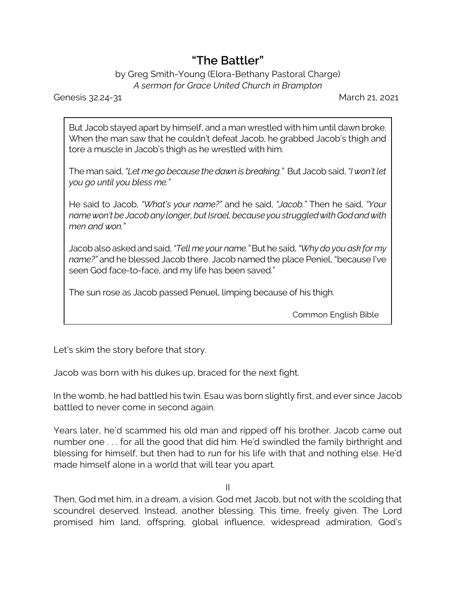## **"The Battler"**

## by Greg Smith-Young (Elora-Bethany Pastoral Charge) *A sermon for Grace United Church in Brampton*

Genesis 32.24-31 March 21, 2021

But Jacob stayed apart by himself, and a man wrestled with him until dawn broke. When the man saw that he couldn't defeat Jacob, he grabbed Jacob's thigh and tore a muscle in Jacob's thigh as he wrestled with him.

The man said, *"Let me go because the dawn is breaking."* But Jacob said, *"I won't let you go until you bless me."*

He said to Jacob, *"What's your name?"* and he said, *"Jacob."* Then he said, *"Your namewon't be Jacobany longer, butIsrael, becauseyoustruggledwithGodandwith men and won."*

Jacobalsoaskedandsaid, *"Tell me your name."* But he said, *"Why do you ask for my name?"* and he blessed Jacob there. Jacob named the place Peniel, "because I've seen God face-to-face, and my life has been saved."

The sun rose as Jacob passed Penuel, limping because of his thigh.

Common English Bible

Let's skim the story before that story.

Jacob was born with his dukes up, braced for the next fight.

In the womb, he had battled his twin. Esau was born slightly first, and ever since Jacob battled to never come in second again.

Years later, he'd scammed his old man and ripped off his brother. Jacob came out number one . . . for all the good that did him. He'd swindled the family birthright and blessing for himself, but then had to run for his life with that and nothing else. He'd made himself alone in a world that will tear you apart.

II

Then, God met him, in a dream, a vision. God met Jacob, but not with the scolding that scoundrel deserved. Instead, another blessing. This time, freely given. The Lord promised him land, offspring, global influence, widespread admiration, God's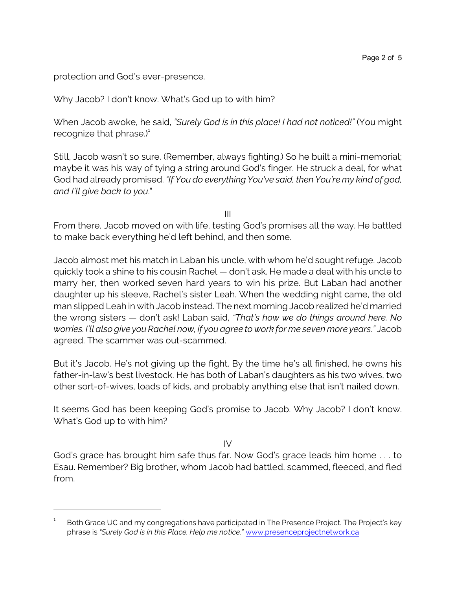protection and God's ever-presence.

Why Jacob? I don't know. What's God up to with him?

When Jacob awoke, he said, *"Surely God is in this place! I had not noticed!"* (You might recognize that phrase. $)^{1}$ 

Still, Jacob wasn't so sure. (Remember, always fighting.) So he built a mini-memorial; maybe it was his way of tying a string around God's finger. He struck a deal, for what God had already promised. *"If You do everything You've said, then You're my kind of god, and I'll give back to you*."

III

From there, Jacob moved on with life, testing God's promises all the way. He battled to make back everything he'd left behind, and then some.

Jacob almost met his match in Laban his uncle, with whom he'd sought refuge. Jacob quickly took a shine to his cousin Rachel — don't ask. He made a deal with his uncle to marry her, then worked seven hard years to win his prize. But Laban had another daughter up his sleeve, Rachel's sister Leah. When the wedding night came, the old man slipped Leah in with Jacob instead. The next morning Jacob realized he'd married the wrong sisters — don't ask! Laban said, *"That's how we do things around here. No worries. I'll also give you Rachel now, if you agree to work for me seven more years."* Jacob agreed. The scammer was out-scammed.

But it's Jacob. He's not giving up the fight. By the time he's all finished, he owns his father-in-law's best livestock. He has both of Laban's daughters as his two wives, two other sort-of-wives, loads of kids, and probably anything else that isn't nailed down.

It seems God has been keeping God's promise to Jacob. Why Jacob? I don't know. What's God up to with him?

IV

God's grace has brought him safe thus far. Now God's grace leads him home . . . to Esau. Remember? Big brother, whom Jacob had battled, scammed, fleeced, and fled from.

<sup>1</sup> Both Grace UC and my congregations have participated in The Presence Project. The Project's key phrase is *"Surely God is in this Place. Help me notice."* [www.presenceprojectnetwork.ca](https://www.presenceprojectnetwork.ca/)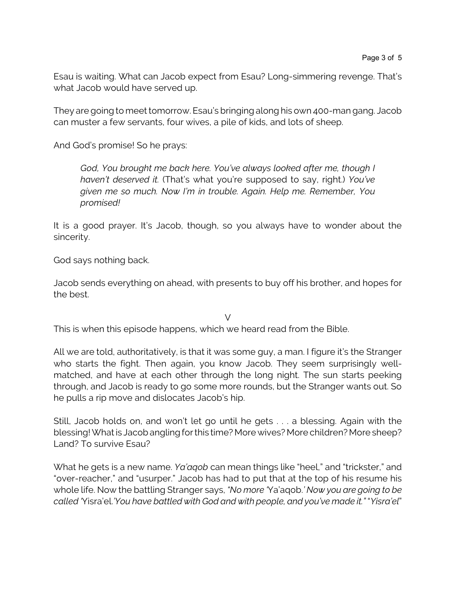Esau is waiting. What can Jacob expect from Esau? Long-simmering revenge. That's what Jacob would have served up.

They are going to meet tomorrow. Esau's bringing along his own 400-man gang. Jacob can muster a few servants, four wives, a pile of kids, and lots of sheep.

And God's promise! So he prays:

*God, You brought me back here. You've always looked after me, though I haven't deserved it.* (That's what you're supposed to say, right.) *You've given me so much. Now I'm in trouble. Again. Help me. Remember, You promised!* 

It is a good prayer. It's Jacob, though, so you always have to wonder about the sincerity.

God says nothing back.

Jacob sends everything on ahead, with presents to buy off his brother, and hopes for the best.

 $\vee$ 

This is when this episode happens, which we heard read from the Bible.

All we are told, authoritatively, is that it was some guy, a man. I figure it's the Stranger who starts the fight. Then again, you know Jacob. They seem surprisingly wellmatched, and have at each other through the long night. The sun starts peeking through, and Jacob is ready to go some more rounds, but the Stranger wants out. So he pulls a rip move and dislocates Jacob's hip.

Still, Jacob holds on, and won't let go until he gets . . . a blessing. Again with the blessing! What is Jacob angling for this time? More wives? More children? More sheep? Land? To survive Esau?

What he gets is a new name. *Ya'aqob* can mean things like "heel," and "trickster," and "over-reacher," and "usurper." Jacob has had to put that at the top of his resume his whole life. Now the battling Stranger says, *"No more '*Ya'aqob.*' Now you are going to be called '*Yisra'el.*'You have battled with God and with people, and you've made it."* "*Yisra'el*"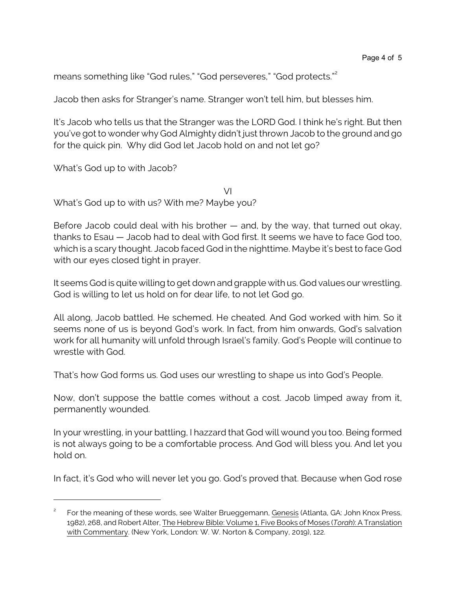means something like "God rules," "God perseveres," "God protects."<sup>2</sup>

Jacob then asks for Stranger's name. Stranger won't tell him, but blesses him.

It's Jacob who tells us that the Stranger was the LORD God. I think he's right. But then you've got to wonder why God Almighty didn't just thrown Jacob to the ground and go for the quick pin. Why did God let Jacob hold on and not let go?

What's God up to with Jacob?

What's God up to with us? With me? Maybe you?

Before Jacob could deal with his brother — and, by the way, that turned out okay, thanks to Esau — Jacob had to deal with God first. It seems we have to face God too, which is a scary thought. Jacob faced God in the nighttime. Maybe it's best to face God with our eyes closed tight in prayer.

VI

It seems God is quite willing to get down and grapple with us. God values our wrestling. God is willing to let us hold on for dear life, to not let God go.

All along, Jacob battled. He schemed. He cheated. And God worked with him. So it seems none of us is beyond God's work. In fact, from him onwards, God's salvation work for all humanity will unfold through Israel's family. God's People will continue to wrestle with God.

That's how God forms us. God uses our wrestling to shape us into God's People.

Now, don't suppose the battle comes without a cost. Jacob limped away from it, permanently wounded.

In your wrestling, in your battling, I hazzard that God will wound you too. Being formed is not always going to be a comfortable process. And God will bless you. And let you hold on.

In fact, it's God who will never let you go. God's proved that. Because when God rose

<sup>2</sup> For the meaning of these words, see Walter Brueggemann, Genesis (Atlanta, GA: John Knox Press, 1982), 268, and Robert Alter, The Hebrew Bible: Volume 1, Five Books of Moses (*Torah*): A Translation with Commentary. (New York, London: W. W. Norton & Company, 2019), 122.